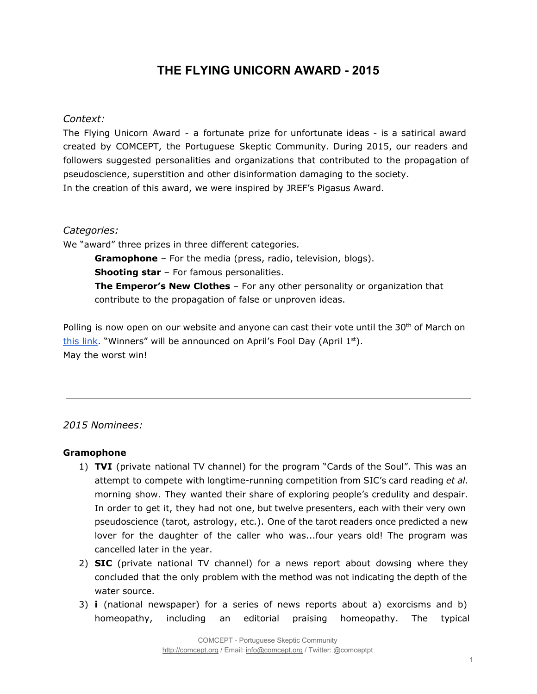# **THE FLYING UNICORN AWARD 2015**

## *Context:*

The Flying Unicorn Award - a fortunate prize for unfortunate ideas - is a satirical award created by COMCEPT, the Portuguese Skeptic Community. During 2015, our readers and followers suggested personalities and organizations that contributed to the propagation of pseudoscience, superstition and other disinformation damaging to the society. In the creation of this award, we were inspired by JREF's Pigasus Award.

### *Categories:*

We "award" three prizes in three different categories.

**Gramophone**– For the media (press, radio, television, blogs). **Shooting star**– For famous personalities. **The Emperor's New Clothes** – For any other personality or organization that contribute to the propagation of false or unproven ideas.

Polling is now open on our website and anyone can cast their vote until the 30<sup>th</sup> of March on this [link.](http://comcept.org/2016/03/21/votacao-para-o-premio-unicornio-voador-2015/) "Winners" will be announced on April's Fool Day (April 1st). May the worst win!

### *2015 Nominees:*

#### **Gramophone**

- 1) **TVI** (private national TV channel) for the program "Cards of the Soul". This was an attempt to compete with longtime-running competition from SIC's card reading *et al.* morning show. They wanted their share of exploring people's credulity and despair. In order to get it, they had not one, but twelve presenters, each with their very own pseudoscience (tarot, astrology, etc.). One of the tarot readers once predicted a new lover for the daughter of the caller who was...four years old! The program was cancelled later in the year.
- 2) **SIC** (private national TV channel) for a news report about dowsing where they concluded that the only problem with the method was not indicating the depth of the water source.
- 3) **i** (national newspaper) for a series of news reports about a) exorcisms and b) homeopathy, including an editorial praising homeopathy. The typical